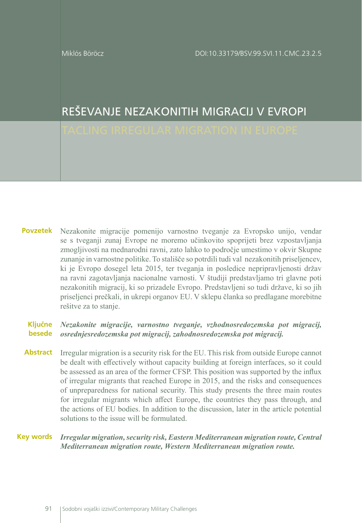Miklós Böröcz

# REŠEVANJE NEZAKONITIH MIGRACIJ V EVROPI

Nezakonite migracije pomenijo varnostno tveganje za Evropsko unijo, vendar **Povzetek** se s tveganji zunaj Evrope ne moremo učinkovito spoprijeti brez vzpostavljanja zmogljivosti na mednarodni ravni, zato lahko to področje umestimo v okvir Skupne zunanje in varnostne politike. To stališče so potrdili tudi val nezakonitih priseljencev, ki je Evropo dosegel leta 2015, ter tveganja in posledice nepripravljenosti držav na ravni zagotavljanja nacionalne varnosti. V študiji predstavljamo tri glavne poti nezakonitih migracij, ki so prizadele Evropo. Predstavljeni so tudi države, ki so jih priseljenci prečkali, in ukrepi organov EU. V sklepu članka so predlagane morebitne rešitve za to stanje.

#### *Nezakonite migracije, varnostno tveganje, vzhodnosredozemska pot migracij, osrednjesredozemska pot migracij, zahodnosredozemska pot migracij.* **besede Ključne**

Abstract Irregular migration is a security risk for the EU. This risk from outside Europe cannot be dealt with effectively without capacity building at foreign interfaces, so it could be assessed as an area of the former CFSP. This position was supported by the influx of irregular migrants that reached Europe in 2015, and the risks and consequences of unpreparedness for national security. This study presents the three main routes for irregular migrants which affect Europe, the countries they pass through, and the actions of EU bodies. In addition to the discussion, later in the article potential solutions to the issue will be formulated.

#### *Irregular migration, security risk, Eastern Mediterranean migration route, Central Mediterranean migration route, Western Mediterranean migration route.* **Key words**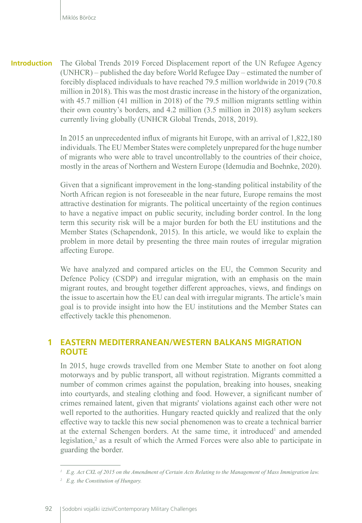The Global Trends 2019 Forced Displacement report of the UN Refugee Agency (UNHCR) – published the day before World Refugee Day – estimated the number of forcibly displaced individuals to have reached 79.5 million worldwide in 2019 (70.8 million in 2018). This was the most drastic increase in the history of the organization, with 45.7 million (41 million in 2018) of the 79.5 million migrants settling within their own country's borders, and 4.2 million (3.5 million in 2018) asylum seekers currently living globally (UNHCR Global Trends, 2018, 2019). **Introduction**

> In 2015 an unprecedented influx of migrants hit Europe, with an arrival of 1,822,180 individuals. The EU Member States were completely unprepared for the huge number of migrants who were able to travel uncontrollably to the countries of their choice, mostly in the areas of Northern and Western Europe (Idemudia and Boehnke, 2020).

> Given that a significant improvement in the long-standing political instability of the North African region is not foreseeable in the near future, Europe remains the most attractive destination for migrants. The political uncertainty of the region continues to have a negative impact on public security, including border control. In the long term this security risk will be a major burden for both the EU institutions and the Member States (Schapendonk, 2015). In this article, we would like to explain the problem in more detail by presenting the three main routes of irregular migration affecting Europe.

> We have analyzed and compared articles on the EU, the Common Security and Defence Policy (CSDP) and irregular migration, with an emphasis on the main migrant routes, and brought together different approaches, views, and findings on the issue to ascertain how the EU can deal with irregular migrants. The article's main goal is to provide insight into how the EU institutions and the Member States can effectively tackle this phenomenon.

# **1 EASTERN MEDITERRANEAN/WESTERN BALKANS MIGRATION ROUTE**

In 2015, huge crowds travelled from one Member State to another on foot along motorways and by public transport, all without registration. Migrants committed a number of common crimes against the population, breaking into houses, sneaking into courtyards, and stealing clothing and food. However, a significant number of crimes remained latent, given that migrants' violations against each other were not well reported to the authorities. Hungary reacted quickly and realized that the only effective way to tackle this new social phenomenon was to create a technical barrier at the external Schengen borders. At the same time, it introduced<sup>1</sup> and amended legislation,<sup>2</sup> as a result of which the Armed Forces were also able to participate in guarding the border.

*<sup>1</sup> E.g. Act CXL of 2015 on the Amendment of Certain Acts Relating to the Management of Mass Immigration law.* 

*<sup>2</sup> E.g. the Constitution of Hungary.*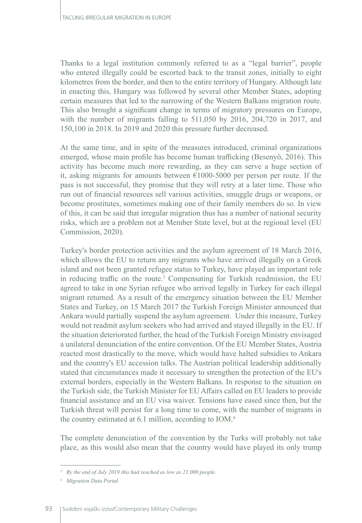Thanks to a legal institution commonly referred to as a "legal barrier", people who entered illegally could be escorted back to the transit zones, initially to eight kilometres from the border, and then to the entire territory of Hungary. Although late in enacting this, Hungary was followed by several other Member States, adopting certain measures that led to the narrowing of the Western Balkans migration route. This also brought a significant change in terms of migratory pressures on Europe, with the number of migrants falling to 511,050 by 2016, 204,720 in 2017, and 150,100 in 2018. In 2019 and 2020 this pressure further decreased.

At the same time, and in spite of the measures introduced, criminal organizations emerged, whose main profile has become human trafficking (Besenyő, 2016). This activity has become much more rewarding, as they can serve a huge section of it, asking migrants for amounts between €1000-5000 per person per route. If the pass is not successful, they promise that they will retry at a later time. Those who run out of financial resources sell various activities, smuggle drugs or weapons, or become prostitutes, sometimes making one of their family members do so. In view of this, it can be said that irregular migration thus has a number of national security risks, which are a problem not at Member State level, but at the regional level (EU Commission, 2020).

Turkey's border protection activities and the asylum agreement of 18 March 2016, which allows the EU to return any migrants who have arrived illegally on a Greek island and not been granted refugee status to Turkey, have played an important role in reducing traffic on the route.<sup>3</sup> Compensating for Turkish readmission, the EU agreed to take in one Syrian refugee who arrived legally in Turkey for each illegal migrant returned. As a result of the emergency situation between the EU Member States and Turkey, on 15 March 2017 the Turkish Foreign Minister announced that Ankara would partially suspend the asylum agreement. Under this measure, Turkey would not readmit asylum seekers who had arrived and stayed illegally in the EU. If the situation deteriorated further, the head of the Turkish Foreign Ministry envisaged a unilateral denunciation of the entire convention. Of the EU Member States, Austria reacted most drastically to the move, which would have halted subsidies to Ankara and the country's EU accession talks. The Austrian political leadership additionally stated that circumstances made it necessary to strengthen the protection of the EU's external borders, especially in the Western Balkans. In response to the situation on the Turkish side, the Turkish Minister for EU Affairs called on EU leaders to provide financial assistance and an EU visa waiver. Tensions have eased since then, but the Turkish threat will persist for a long time to come, with the number of migrants in the country estimated at 6.1 million, according to IOM.4

The complete denunciation of the convention by the Turks will probably not take place, as this would also mean that the country would have played its only trump

*<sup>3</sup> By the end of July 2019 this had reached as low as 21,000 people.*

*<sup>4</sup> Migration Data Portal.*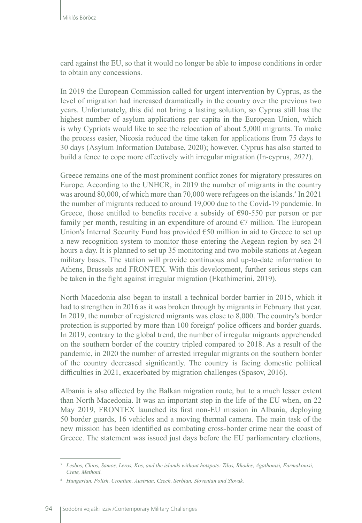card against the EU, so that it would no longer be able to impose conditions in order to obtain any concessions.

In 2019 the European Commission called for urgent intervention by Cyprus, as the level of migration had increased dramatically in the country over the previous two years. Unfortunately, this did not bring a lasting solution, so Cyprus still has the highest number of asylum applications per capita in the European Union, which is why Cypriots would like to see the relocation of about 5,000 migrants. To make the process easier, Nicosia reduced the time taken for applications from 75 days to 30 days (Asylum Information Database, 2020); however, Cyprus has also started to build a fence to cope more effectively with irregular migration (In-cyprus, *2021*).

Greece remains one of the most prominent conflict zones for migratory pressures on Europe. According to the UNHCR, in 2019 the number of migrants in the country was around 80,000, of which more than 70,000 were refugees on the islands.<sup>5</sup> In 2021 the number of migrants reduced to around 19,000 due to the Covid-19 pandemic. In Greece, those entitled to benefits receive a subsidy of  $\epsilon$ 90-550 per person or per family per month, resulting in an expenditure of around  $\epsilon$ 7 million. The European Union's Internal Security Fund has provided  $\epsilon$ 50 million in aid to Greece to set up a new recognition system to monitor those entering the Aegean region by sea 24 hours a day. It is planned to set up 35 monitoring and two mobile stations at Aegean military bases. The station will provide continuous and up-to-date information to Athens, Brussels and FRONTEX. With this development, further serious steps can be taken in the fight against irregular migration (Ekathimerini, 2019).

North Macedonia also began to install a technical border barrier in 2015, which it had to strengthen in 2016 as it was broken through by migrants in February that year. In 2019, the number of registered migrants was close to 8,000. The country's border protection is supported by more than 100 foreign<sup>6</sup> police officers and border guards. In 2019, contrary to the global trend, the number of irregular migrants apprehended on the southern border of the country tripled compared to 2018. As a result of the pandemic, in 2020 the number of arrested irregular migrants on the southern border of the country decreased significantly. The country is facing domestic political difficulties in 2021, exacerbated by migration challenges (Spasov, 2016).

Albania is also affected by the Balkan migration route, but to a much lesser extent than North Macedonia. It was an important step in the life of the EU when, on 22 May 2019, FRONTEX launched its first non-EU mission in Albania, deploying 50 border guards, 16 vehicles and a moving thermal camera. The main task of the new mission has been identified as combating cross-border crime near the coast of Greece. The statement was issued just days before the EU parliamentary elections,

*<sup>5</sup> Lesbos, Chios, Samos, Leros, Kos, and the islands without hotspots: Tilos, Rhodes, Agathonisi, Farmakonisi, Crete, Methoni.*

*<sup>6</sup> Hungarian, Polish, Croatian, Austrian, Czech, Serbian, Slovenian and Slovak.*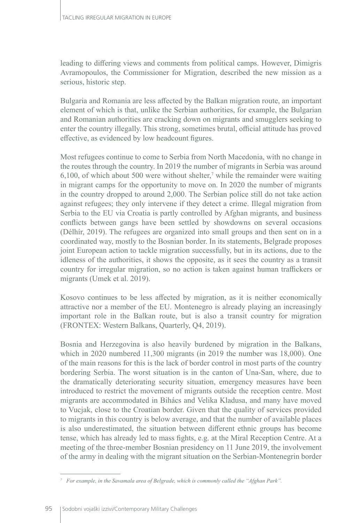leading to differing views and comments from political camps. However, Dimigris Avramopoulos, the Commissioner for Migration, described the new mission as a serious, historic step.

Bulgaria and Romania are less affected by the Balkan migration route, an important element of which is that, unlike the Serbian authorities, for example, the Bulgarian and Romanian authorities are cracking down on migrants and smugglers seeking to enter the country illegally. This strong, sometimes brutal, official attitude has proved effective, as evidenced by low headcount figures.

Most refugees continue to come to Serbia from North Macedonia, with no change in the routes through the country. In 2019 the number of migrants in Serbia was around  $6,100$ , of which about 500 were without shelter,<sup>7</sup> while the remainder were waiting in migrant camps for the opportunity to move on. In 2020 the number of migrants in the country dropped to around 2,000. The Serbian police still do not take action against refugees; they only intervene if they detect a crime. Illegal migration from Serbia to the EU via Croatia is partly controlled by Afghan migrants, and business conflicts between gangs have been settled by showdowns on several occasions (Délhír, 2019). The refugees are organized into small groups and then sent on in a coordinated way, mostly to the Bosnian border. In its statements, Belgrade proposes joint European action to tackle migration successfully, but in its actions, due to the idleness of the authorities, it shows the opposite, as it sees the country as a transit country for irregular migration, so no action is taken against human traffickers or migrants (Umek et al. 2019).

Kosovo continues to be less affected by migration, as it is neither economically attractive nor a member of the EU. Montenegro is already playing an increasingly important role in the Balkan route, but is also a transit country for migration (FRONTEX: Western Balkans, Quarterly, Q4, 2019).

Bosnia and Herzegovina is also heavily burdened by migration in the Balkans, which in 2020 numbered 11,300 migrants (in 2019 the number was 18,000). One of the main reasons for this is the lack of border control in most parts of the country bordering Serbia. The worst situation is in the canton of Una-San, where, due to the dramatically deteriorating security situation, emergency measures have been introduced to restrict the movement of migrants outside the reception centre. Most migrants are accommodated in Bihács and Velika Kladusa, and many have moved to Vucjak, close to the Croatian border. Given that the quality of services provided to migrants in this country is below average, and that the number of available places is also underestimated, the situation between different ethnic groups has become tense, which has already led to mass fights, e.g. at the Miral Reception Centre. At a meeting of the three-member Bosnian presidency on 11 June 2019, the involvement of the army in dealing with the migrant situation on the Serbian-Montenegrin border

*<sup>7</sup> For example, in the Savamala area of Belgrade, which is commonly called the "Afghan Park".*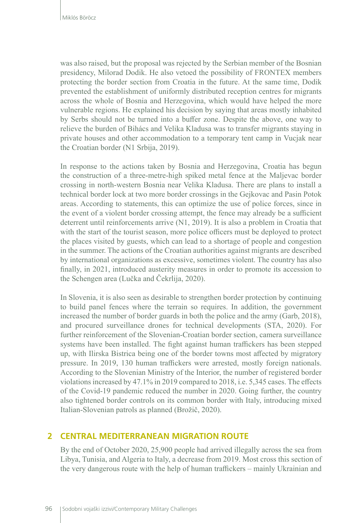was also raised, but the proposal was rejected by the Serbian member of the Bosnian presidency, Milorad Dodik. He also vetoed the possibility of FRONTEX members protecting the border section from Croatia in the future. At the same time, Dodik prevented the establishment of uniformly distributed reception centres for migrants across the whole of Bosnia and Herzegovina, which would have helped the more vulnerable regions. He explained his decision by saying that areas mostly inhabited by Serbs should not be turned into a buffer zone. Despite the above, one way to relieve the burden of Bihács and Velika Kladusa was to transfer migrants staying in private houses and other accommodation to a temporary tent camp in Vucjak near the Croatian border (N1 Srbija, 2019).

In response to the actions taken by Bosnia and Herzegovina, Croatia has begun the construction of a three-metre-high spiked metal fence at the Maljevac border crossing in north-western Bosnia near Velika Kladusa. There are plans to install a technical border lock at two more border crossings in the Gejkovac and Pasin Potok areas. According to statements, this can optimize the use of police forces, since in the event of a violent border crossing attempt, the fence may already be a sufficient deterrent until reinforcements arrive (N1, 2019). It is also a problem in Croatia that with the start of the tourist season, more police officers must be deployed to protect the places visited by guests, which can lead to a shortage of people and congestion in the summer. The actions of the Croatian authorities against migrants are described by international organizations as excessive, sometimes violent. The country has also finally, in 2021, introduced austerity measures in order to promote its accession to the Schengen area (Lučka and Čekrlija, 2020).

In Slovenia, it is also seen as desirable to strengthen border protection by continuing to build panel fences where the terrain so requires. In addition, the government increased the number of border guards in both the police and the army (Garb, 2018), and procured surveillance drones for technical developments (STA, 2020). For further reinforcement of the Slovenian-Croatian border section, camera surveillance systems have been installed. The fight against human traffickers has been stepped up, with Ilirska Bistrica being one of the border towns most affected by migratory pressure. In 2019, 130 human traffickers were arrested, mostly foreign nationals. According to the Slovenian Ministry of the Interior, the number of registered border violations increased by 47.1% in 2019 compared to 2018, i.e. 5,345 cases. The effects of the Covid-19 pandemic reduced the number in 2020. Going further, the country also tightened border controls on its common border with Italy, introducing mixed Italian-Slovenian patrols as planned (Brožič, 2020).

### **2 CENTRAL MEDITERRANEAN MIGRATION ROUTE**

By the end of October 2020, 25,900 people had arrived illegally across the sea from Libya, Tunisia, and Algeria to Italy, a decrease from 2019. Most cross this section of the very dangerous route with the help of human traffickers – mainly Ukrainian and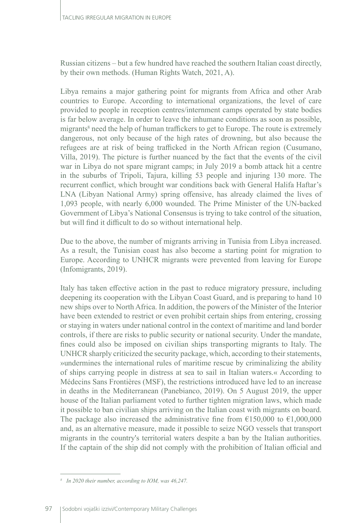Russian citizens – but a few hundred have reached the southern Italian coast directly, by their own methods. (Human Rights Watch, 2021, A).

Libya remains a major gathering point for migrants from Africa and other Arab countries to Europe. According to international organizations, the level of care provided to people in reception centres/internment camps operated by state bodies is far below average. In order to leave the inhumane conditions as soon as possible, migrants<sup>8</sup> need the help of human traffickers to get to Europe. The route is extremely dangerous, not only because of the high rates of drowning, but also because the refugees are at risk of being trafficked in the North African region (Cusumano, Villa, 2019). The picture is further nuanced by the fact that the events of the civil war in Libya do not spare migrant camps; in July 2019 a bomb attack hit a centre in the suburbs of Tripoli, Tajura, killing 53 people and injuring 130 more. The recurrent conflict, which brought war conditions back with General Halifa Haftar's LNA (Libyan National Army) spring offensive, has already claimed the lives of 1,093 people, with nearly 6,000 wounded. The Prime Minister of the UN-backed Government of Libya's National Consensus is trying to take control of the situation, but will find it difficult to do so without international help.

Due to the above, the number of migrants arriving in Tunisia from Libya increased. As a result, the Tunisian coast has also become a starting point for migration to Europe. According to UNHCR migrants were prevented from leaving for Europe (Infomigrants, 2019).

Italy has taken effective action in the past to reduce migratory pressure, including deepening its cooperation with the Libyan Coast Guard, and is preparing to hand 10 new ships over to North Africa. In addition, the powers of the Minister of the Interior have been extended to restrict or even prohibit certain ships from entering, crossing or staying in waters under national control in the context of maritime and land border controls, if there are risks to public security or national security. Under the mandate, fines could also be imposed on civilian ships transporting migrants to Italy. The UNHCR sharply criticized the security package, which, according to their statements, »undermines the international rules of maritime rescue by criminalizing the ability of ships carrying people in distress at sea to sail in Italian waters.« According to Médecins Sans Frontières (MSF), the restrictions introduced have led to an increase in deaths in the Mediterranean (Panebianco, 2019). On 5 August 2019, the upper house of the Italian parliament voted to further tighten migration laws, which made it possible to ban civilian ships arriving on the Italian coast with migrants on board. The package also increased the administrative fine from  $\epsilon$ 150,000 to  $\epsilon$ 1,000,000 and, as an alternative measure, made it possible to seize NGO vessels that transport migrants in the country's territorial waters despite a ban by the Italian authorities. If the captain of the ship did not comply with the prohibition of Italian official and

*<sup>8</sup> In 2020 their number, according to IOM, was 46,247.*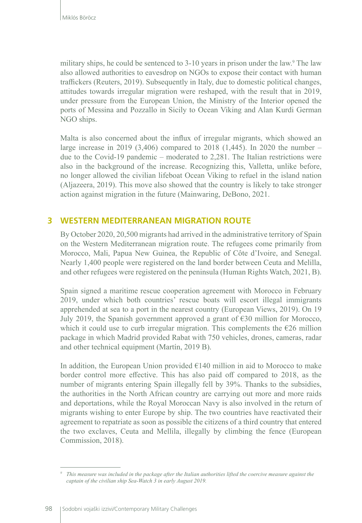military ships, he could be sentenced to 3-10 years in prison under the law.9 The law also allowed authorities to eavesdrop on NGOs to expose their contact with human traffickers (Reuters, 2019). Subsequently in Italy, due to domestic political changes, attitudes towards irregular migration were reshaped, with the result that in 2019, under pressure from the European Union, the Ministry of the Interior opened the ports of Messina and Pozzallo in Sicily to Ocean Viking and Alan Kurdi German NGO ships.

Malta is also concerned about the influx of irregular migrants, which showed an large increase in 2019 (3,406) compared to 2018 (1,445). In 2020 the number – due to the Covid-19 pandemic – moderated to 2,281. The Italian restrictions were also in the background of the increase. Recognizing this, Valletta, unlike before, no longer allowed the civilian lifeboat Ocean Viking to refuel in the island nation (Aljazeera, 2019). This move also showed that the country is likely to take stronger action against migration in the future (Mainwaring, DeBono, 2021.

# **3 WESTERN MEDITERRANEAN MIGRATION ROUTE**

By October 2020, 20,500 migrants had arrived in the administrative territory of Spain on the Western Mediterranean migration route. The refugees come primarily from Morocco, Mali, Papua New Guinea, the Republic of Côte d'Ivoire, and Senegal. Nearly 1,400 people were registered on the land border between Ceuta and Melilla, and other refugees were registered on the peninsula (Human Rights Watch, 2021, B).

Spain signed a maritime rescue cooperation agreement with Morocco in February 2019, under which both countries' rescue boats will escort illegal immigrants apprehended at sea to a port in the nearest country (European Views, 2019). On 19 July 2019, the Spanish government approved a grant of €30 million for Morocco, which it could use to curb irregular migration. This complements the  $E26$  million package in which Madrid provided Rabat with 750 vehicles, drones, cameras, radar and other technical equipment (Martín, 2019 B).

In addition, the European Union provided  $E140$  million in aid to Morocco to make border control more effective. This has also paid off compared to 2018, as the number of migrants entering Spain illegally fell by 39%. Thanks to the subsidies, the authorities in the North African country are carrying out more and more raids and deportations, while the Royal Moroccan Navy is also involved in the return of migrants wishing to enter Europe by ship. The two countries have reactivated their agreement to repatriate as soon as possible the citizens of a third country that entered the two exclaves, Ceuta and Mellila, illegally by climbing the fence (European Commission, 2018).

*<sup>9</sup> This measure was included in the package after the Italian authorities lifted the coercive measure against the captain of the civilian ship Sea-Watch 3 in early August 2019.*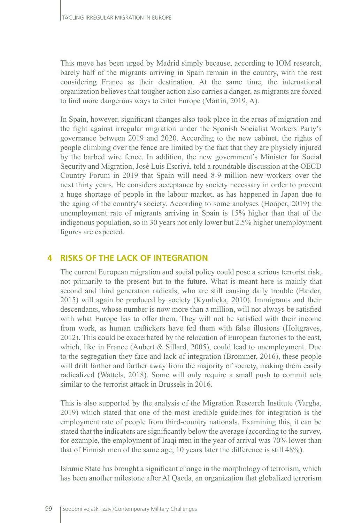This move has been urged by Madrid simply because, according to IOM research, barely half of the migrants arriving in Spain remain in the country, with the rest considering France as their destination. At the same time, the international organization believes that tougher action also carries a danger, as migrants are forced to find more dangerous ways to enter Europe (Martín, 2019, A).

In Spain, however, significant changes also took place in the areas of migration and the fight against irregular migration under the Spanish Socialist Workers Party's governance between 2019 and 2020. According to the new cabinet, the rights of people climbing over the fence are limited by the fact that they are physicly injured by the barbed wire fence. In addition, the new government's Minister for Social Security and Migration, Josè Luis Escrivá, told a roundtable discussion at the OECD Country Forum in 2019 that Spain will need 8-9 million new workers over the next thirty years. He considers acceptance by society necessary in order to prevent a huge shortage of people in the labour market, as has happened in Japan due to the aging of the country's society. According to some analyses (Hooper, 2019) the unemployment rate of migrants arriving in Spain is 15% higher than that of the indigenous population, so in 30 years not only lower but 2.5% higher unemployment figures are expected.

## **4 RISKS OF THE LACK OF INTEGRATION**

The current European migration and social policy could pose a serious terrorist risk, not primarily to the present but to the future. What is meant here is mainly that second and third generation radicals, who are still causing daily trouble (Haider, 2015) will again be produced by society (Kymlicka, 2010). Immigrants and their descendants, whose number is now more than a million, will not always be satisfied with what Europe has to offer them. They will not be satisfied with their income from work, as human traffickers have fed them with false illusions (Holtgraves, 2012). This could be exacerbated by the relocation of European factories to the east, which, like in France (Aubert & Sillard, 2005), could lead to unemployment. Due to the segregation they face and lack of integration (Brommer, 2016), these people will drift farther and farther away from the majority of society, making them easily radicalized (Wattels, 2018). Some will only require a small push to commit acts similar to the terrorist attack in Brussels in 2016.

This is also supported by the analysis of the Migration Research Institute (Vargha, 2019) which stated that one of the most credible guidelines for integration is the employment rate of people from third-country nationals. Examining this, it can be stated that the indicators are significantly below the average (according to the survey, for example, the employment of Iraqi men in the year of arrival was 70% lower than that of Finnish men of the same age; 10 years later the difference is still 48%).

Islamic State has brought a significant change in the morphology of terrorism, which has been another milestone after Al Qaeda, an organization that globalized terrorism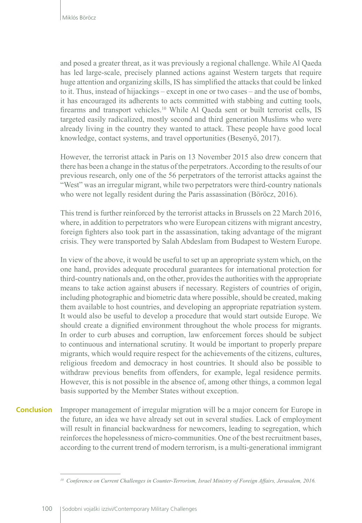and posed a greater threat, as it was previously a regional challenge. While Al Qaeda has led large-scale, precisely planned actions against Western targets that require huge attention and organizing skills, IS has simplified the attacks that could be linked to it. Thus, instead of hijackings – except in one or two cases – and the use of bombs, it has encouraged its adherents to acts committed with stabbing and cutting tools, firearms and transport vehicles.<sup>10</sup> While Al Qaeda sent or built terrorist cells, IS targeted easily radicalized, mostly second and third generation Muslims who were already living in the country they wanted to attack. These people have good local knowledge, contact systems, and travel opportunities (Besenyő, 2017).

However, the terrorist attack in Paris on 13 November 2015 also drew concern that there has been a change in the status of the perpetrators. According to the results of our previous research, only one of the 56 perpetrators of the terrorist attacks against the "West" was an irregular migrant, while two perpetrators were third-country nationals who were not legally resident during the Paris assassination (Böröcz, 2016).

This trend is further reinforced by the terrorist attacks in Brussels on 22 March 2016, where, in addition to perpetrators who were European citizens with migrant ancestry, foreign fighters also took part in the assassination, taking advantage of the migrant crisis. They were transported by Salah Abdeslam from Budapest to Western Europe.

In view of the above, it would be useful to set up an appropriate system which, on the one hand, provides adequate procedural guarantees for international protection for third-country nationals and, on the other, provides the authorities with the appropriate means to take action against abusers if necessary. Registers of countries of origin, including photographic and biometric data where possible, should be created, making them available to host countries, and developing an appropriate repatriation system. It would also be useful to develop a procedure that would start outside Europe. We should create a dignified environment throughout the whole process for migrants. In order to curb abuses and corruption, law enforcement forces should be subject to continuous and international scrutiny. It would be important to properly prepare migrants, which would require respect for the achievements of the citizens, cultures, religious freedom and democracy in host countries. It should also be possible to withdraw previous benefits from offenders, for example, legal residence permits. However, this is not possible in the absence of, among other things, a common legal basis supported by the Member States without exception.

Improper management of irregular migration will be a major concern for Europe in the future, an idea we have already set out in several studies. Lack of employment will result in financial backwardness for newcomers, leading to segregation, which reinforces the hopelessness of micro-communities. One of the best recruitment bases, according to the current trend of modern terrorism, is a multi-generational immigrant **Conclusion** 

*<sup>10</sup> Conference on Current Challenges in Counter-Terrorism, Israel Ministry of Foreign Affairs, Jerusalem, 2016.*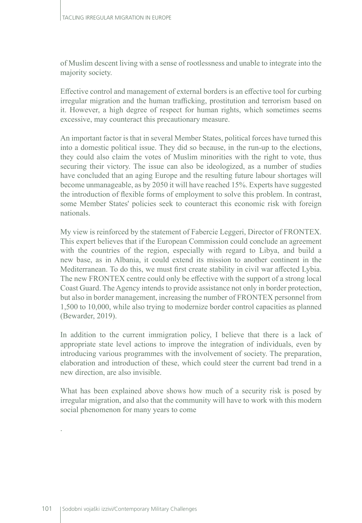of Muslim descent living with a sense of rootlessness and unable to integrate into the majority society.

Effective control and management of external borders is an effective tool for curbing irregular migration and the human trafficking, prostitution and terrorism based on it. However, a high degree of respect for human rights, which sometimes seems excessive, may counteract this precautionary measure.

An important factor is that in several Member States, political forces have turned this into a domestic political issue. They did so because, in the run-up to the elections, they could also claim the votes of Muslim minorities with the right to vote, thus securing their victory. The issue can also be ideologized, as a number of studies have concluded that an aging Europe and the resulting future labour shortages will become unmanageable, as by 2050 it will have reached 15%. Experts have suggested the introduction of flexible forms of employment to solve this problem. In contrast, some Member States' policies seek to counteract this economic risk with foreign nationals.

My view is reinforced by the statement of Fabercie Leggeri, Director of FRONTEX. This expert believes that if the European Commission could conclude an agreement with the countries of the region, especially with regard to Libya, and build a new base, as in Albania, it could extend its mission to another continent in the Mediterranean. To do this, we must first create stability in civil war affected Lybia. The new FRONTEX centre could only be effective with the support of a strong local Coast Guard. The Agency intends to provide assistance not only in border protection, but also in border management, increasing the number of FRONTEX personnel from 1,500 to 10,000, while also trying to modernize border control capacities as planned (Bewarder, 2019).

In addition to the current immigration policy, I believe that there is a lack of appropriate state level actions to improve the integration of individuals, even by introducing various programmes with the involvement of society. The preparation, elaboration and introduction of these, which could steer the current bad trend in a new direction, are also invisible.

What has been explained above shows how much of a security risk is posed by irregular migration, and also that the community will have to work with this modern social phenomenon for many years to come

.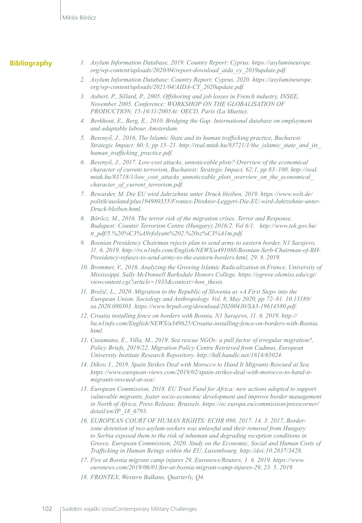### **Bibliography**

- *1. Asylum Information Database, 2019. Country Report: Cyprus. https://asylumineurope. org/wp-content/uploads/2020/04/report-download\_aida\_cy\_2019update.pdf.*
- *2. Asylum Information Database: Country Report: Cyprus, 2020. https://asylumineurope. org/wp-content/uploads/2021/04/AIDA-CY\_2020update.pdf.*
- *3. Aubert, P., Sillard, P., 2005. Offshoring and job losses in French industry, INSEE, November 2005. Conference: WORKSHOP ON THE GLOBALISATION OF PRODUCTION, 15-16/11/2005At: OECD, Paris (La Muette).*
- *4. Berkhout, E., Berg, E., 2010. Bridging the Gap. International database on employment and adaptable labour, Amsterdam.*
- *5. Besenyő, J., 2016. The Islamic State and its human trafficking practice, Bucharest: Strategic Impact: 60:3; pp 15–21. http://real.mtak.hu/83721/1/the\_islamic\_state\_and\_its\_ human\_trafficking\_practice.pdf.*
- *6. Besenyő, J., 2017. Low-cost attacks, unnoticeable plots? Overview of the economical character of current terrorism, Bucharest: Strategic Impact, 62:1, pp 83–100. http://real. mtak.hu/83718/1/low\_cost\_attacks\_unnoticeable\_plots\_overview\_on\_the\_economical\_ character\_of\_current\_terrorism.pdf.*
- *7. Bewarder, M. Die EU wird Jahrzehnte unter Druck bleiben, 2019. https://www.welt.de/ politik/ausland/plus194980355/Frontex-Direktor-Leggeri-Die-EU-wird-Jahrzehnte-unter-Druck-bleiben.html.*
- *8. Böröcz, M., 2016. The terror risk of the migration crises, Terror and Response, Budapest: Counter Terrorism Centre (Hungary) 2016/2. Vol 6/1. http://www.tek.gov.hu/ tt\_pdf/5.%20%C3%A9vfolyam%202.%20sz%C3%A1m.pdf.*
- *9. Bosnian Presidency Chairman rejects plan to send army to eastern border, N1 Sarajevo, 11. 6. 2019. http://rs.n1info.com/English/NEWS/a491088/Bosnian-Serb-Chairman-of-BH-Presidency-refuses-to-send-army-to-the-eastern-borders.html, 29. 8. 2019.*
- *10. Brommer, V., 2016. Analyzing the Growing Islamic Radicalization in France, University of Mississippi. Sally McDonnell Barksdale Honors College. https://egrove.olemiss.edu/cgi/ viewcontent.cgi?article=1933&context=hon\_thesis.*
- *11. Brožič, L., 2020. Migration to the Republic of Slovenia as »A First Step« into the European Union. Sociology and Anthropology. Vol. 8, May 2020, pp 72–81. 10.13189/ sa.2020.080303. https://www.hrpub.org/download/20200430/SA3-19614580.pdf.*
- *12. Croatia installing fence on borders with Bosnia, N1 Sarajevo, 11. 6. 2019. http:// ba.n1info.com/English/NEWS/a349625/Croatia-installing-fence-on-borders-with-Bosnia. html.*
- *13. Cusumano, E., Villa, M., 2019. Sea rescue NGOs: a pull factor of irregular migration?, Policy Briefs, 2019/22, Migration Policy Centre Retrieved from Cadmus, European University Institute Research Repository. http://hdl.handle.net/1814/65024.*
- *14. Dikov, I., 2019. Spain Strikes Deal with Morocco to Hand It Migrants Rescued at Sea. https://www.european-views.com/2019/02/spain-strikes-deal-with-morocco-to-hand-itmigrants-rescued-at-sea/.*
- *15. European Commission, 2018. EU Trust Fund for Africa: new actions adopted to support vulnerable migrants, foster socio-economic development and improve border management in North of Africa, Press Release, Brussels. https://ec.europa.eu/commission/presscorner/ detail/en/IP\_18\_6793.*
- *16. EUROPEAN COURT OF HUMAN RIGHTS: ECHR 090, 2017. 14. 3. 2017, Borderzone detention of two asylum-seekers was unlawful and their removal from Hungary to Serbia exposed them to the risk of inhuman and degrading reception conditions in Greece. European Commission, 2020. Study on the Economic, Social and Human Costs of Trafficking in Human Beings within the EU, Luxembourg. http://doi:10.2837/3428.*
- *17. Fire at Bosnia migrant camp injures 29, Euronews/Reuters, 1. 6. 2019. https://www. euronews.com/2019/06/01/fire-at-bosnia-migrant-camp-injures-29, 23. 5. 2019.*
- *18. FRONTEX, Western Balkans, Quarterly, Q4.*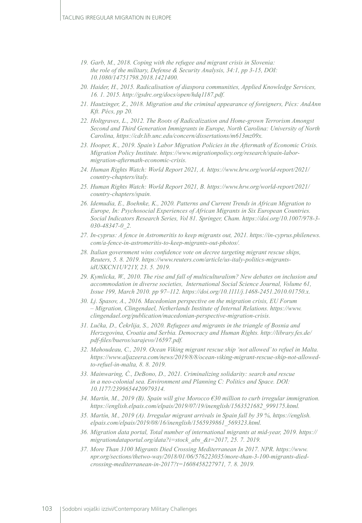- *19. Garb, M., 2018. Coping with the refugee and migrant crisis in Slovenia: the role of the military, Defense & Security Analysis, 34:1, pp 3-15, DOI: 10.1080/14751798.2018.1421400.*
- *20. Haider, H., 2015. Radicalisation of diaspora communities, Applied Knowledge Services, 16. 1. 2015. http://gsdrc.org/docs/open/hdq1187.pdf.*
- *21. Hautzinger, Z., 2018. Migration and the criminal appearance of foreigners, Pécs: AndAnn Kft. Pécs, pp 20.*
- *22. Holtgraves, L., 2012. The Roots of Radicalization and Home-grown Terrorism Amongst Second and Third Generation Immigrants in Europe, North Carolina: University of North Carolina, https://cdr.lib.unc.edu/concern/dissertations/m613mz09x.*
- *23. Hooper, K., 2019. Spain's Labor Migration Policies in the Aftermath of Economic Crisis. Migration Policy Institute. https://www.migrationpolicy.org/research/spain-labormigration-aftermath-economic-crisis.*
- *24. Human Rights Watch: World Report 2021, A. https://www.hrw.org/world-report/2021/ country-chapters/italy.*
- *25. Human Rights Watch: World Report 2021, B. https://www.hrw.org/world-report/2021/ country-chapters/spain.*
- *26. Idemudia, E., Boehnke, K., 2020. Patterns and Current Trends in African Migration to Europe, In: Psychosocial Experiences of African Migrants in Six European Countries. Social Indicators Research Series, Vol 81. Springer, Cham. https://doi.org/10.1007/978-3- 030-48347-0\_2.*
- *27. In-cyprus: A fence in Astromeritis to keep migrants out, 2021. https://in-cyprus.philenews. com/a-fence-in-astromeritis-to-keep-migrants-out-photos/.*
- *28. Italian government wins confidence vote on decree targeting migrant rescue ships, Reuters, 5. 8. 2019. https://www.reuters.com/article/us-italy-politics-migrantsidUSKCN1UV21Y, 23. 5. 2019.*
- *29. Kymlicka, W., 2010. The rise and fall of multiculturalism? New debates on inclusion and accommodation in diverse societies, International Social Science Journal, Volume 61, Issue 199, March 2010. pp 97–112. https://doi.org/10.1111/j.1468-2451.2010.01750.x.*
- *30. Lj. Spasov, A., 2016. Macedonian perspective on the migration crisis, EU Forum – Migration, Clingendael, Netherlands Institute of Internal Relations. https://www. clingendael.org/publication/macedonian-perspective-migration-crisis.*
- *31. Lučka, D., Čekrlija, S., 2020. Refugees and migrants in the triangle of Bosnia and Herzegovina, Croatia and Serbia. Democracy and Human Rights. http://library.fes.de/ pdf-files/bueros/sarajevo/16597.pdf.*
- *32. Mahoudeau, C., 2019. Ocean Viking migrant rescue ship 'not allowed' to refuel in Malta. https://www.aljazeera.com/news/2019/8/8/ocean-viking-migrant-rescue-ship-not-allowedto-refuel-in-malta, 8. 8. 2019.*
- *33. Mainwaring, Ċ., DeBono, D., 2021. Criminalizing solidarity: search and rescue in a neo-colonial sea. Environment and Planning C: Politics and Space. DOI: 10.1177/2399654420979314.*
- *34. Martín, M., 2019 (B). Spain will give Morocco €30 million to curb irregular immigration. https://english.elpais.com/elpais/2019/07/19/inenglish/1563521682\_999175.html.*
- *35. Martín, M., 2019 (A). Irregular migrant arrivals in Spain fall by 39 %, https://english. elpais.com/elpais/2019/08/16/inenglish/1565939861\_569323.html.*
- *36. Migration data portal, Total number of international migrants at mid-year, 2019. https:// migrationdataportal.org/data?i=stock\_abs\_&t=2017, 25. 7. 2019.*
- *37. More Than 3100 Migrants Died Crossing Mediterranean In 2017. NPR. https://www. npr.org/sections/thetwo-way/2018/01/06/576223035/more-than-3-100-migrants-diedcrossing-mediterranean-in-2017?t=1608458227971, 7. 8. 2019.*